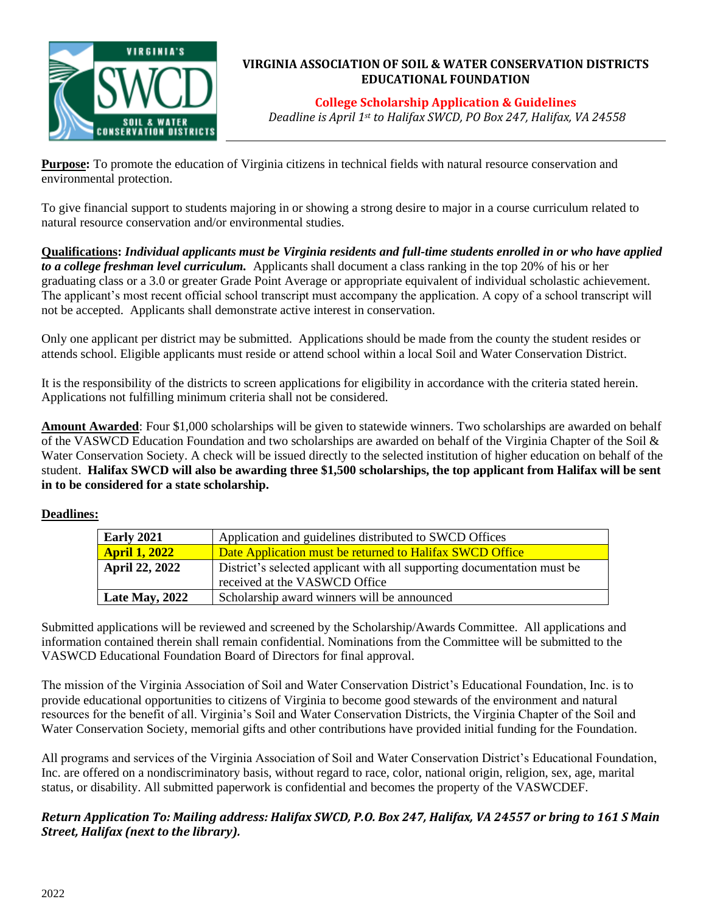

## **VIRGINIA ASSOCIATION OF SOIL & WATER CONSERVATION DISTRICTS EDUCATIONAL FOUNDATION**

**College Scholarship Application & Guidelines**

*Deadline is April 1st to Halifax SWCD, PO Box 247, Halifax, VA 24558*

**Purpose:** To promote the education of Virginia citizens in technical fields with natural resource conservation and environmental protection.

To give financial support to students majoring in or showing a strong desire to major in a course curriculum related to natural resource conservation and/or environmental studies.

**Qualifications:** *Individual applicants must be Virginia residents and full-time students enrolled in or who have applied to a college freshman level curriculum.* Applicants shall document a class ranking in the top 20% of his or her graduating class or a 3.0 or greater Grade Point Average or appropriate equivalent of individual scholastic achievement. The applicant's most recent official school transcript must accompany the application. A copy of a school transcript will not be accepted. Applicants shall demonstrate active interest in conservation.

Only one applicant per district may be submitted. Applications should be made from the county the student resides or attends school. Eligible applicants must reside or attend school within a local Soil and Water Conservation District.

It is the responsibility of the districts to screen applications for eligibility in accordance with the criteria stated herein. Applications not fulfilling minimum criteria shall not be considered.

**Amount Awarded**: Four \$1,000 scholarships will be given to statewide winners. Two scholarships are awarded on behalf of the VASWCD Education Foundation and two scholarships are awarded on behalf of the Virginia Chapter of the Soil & Water Conservation Society. A check will be issued directly to the selected institution of higher education on behalf of the student. **Halifax SWCD will also be awarding three \$1,500 scholarships, the top applicant from Halifax will be sent in to be considered for a state scholarship.** 

## **Deadlines:**

| <b>Early 2021</b>     | Application and guidelines distributed to SWCD Offices                                                   |  |
|-----------------------|----------------------------------------------------------------------------------------------------------|--|
| <b>April 1, 2022</b>  | Date Application must be returned to Halifax SWCD Office                                                 |  |
| <b>April 22, 2022</b> | District's selected applicant with all supporting documentation must be<br>received at the VASWCD Office |  |
| <b>Late May, 2022</b> | Scholarship award winners will be announced                                                              |  |

Submitted applications will be reviewed and screened by the Scholarship/Awards Committee. All applications and information contained therein shall remain confidential. Nominations from the Committee will be submitted to the VASWCD Educational Foundation Board of Directors for final approval.

The mission of the Virginia Association of Soil and Water Conservation District's Educational Foundation, Inc. is to provide educational opportunities to citizens of Virginia to become good stewards of the environment and natural resources for the benefit of all. Virginia's Soil and Water Conservation Districts, the Virginia Chapter of the Soil and Water Conservation Society, memorial gifts and other contributions have provided initial funding for the Foundation.

All programs and services of the Virginia Association of Soil and Water Conservation District's Educational Foundation, Inc. are offered on a nondiscriminatory basis, without regard to race, color, national origin, religion, sex, age, marital status, or disability. All submitted paperwork is confidential and becomes the property of the VASWCDEF.

# *Return Application To: Mailing address: Halifax SWCD, P.O. Box 247, Halifax, VA 24557 or bring to 161 S Main Street, Halifax (next to the library).*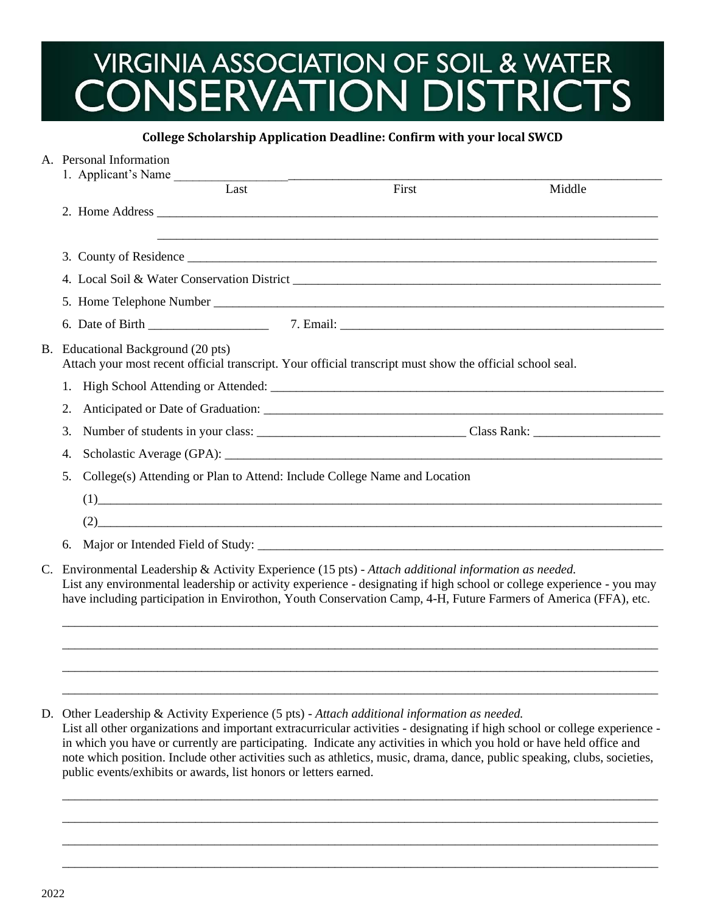# VIRGINIA ASSOCIATION OF SOIL & WATER<br>CONSERVATION DISTRICTS

#### **College Scholarship Application Deadline: Confirm with your local SWCD**

|             | A. Personal Information                                                                                                                                                                                                                                                                                                                        |       |        |  |  |  |
|-------------|------------------------------------------------------------------------------------------------------------------------------------------------------------------------------------------------------------------------------------------------------------------------------------------------------------------------------------------------|-------|--------|--|--|--|
|             | 1. Applicant's Name                                                                                                                                                                                                                                                                                                                            |       |        |  |  |  |
|             | Last                                                                                                                                                                                                                                                                                                                                           | First | Middle |  |  |  |
|             |                                                                                                                                                                                                                                                                                                                                                |       |        |  |  |  |
|             |                                                                                                                                                                                                                                                                                                                                                |       |        |  |  |  |
|             |                                                                                                                                                                                                                                                                                                                                                |       |        |  |  |  |
|             |                                                                                                                                                                                                                                                                                                                                                |       |        |  |  |  |
|             |                                                                                                                                                                                                                                                                                                                                                |       |        |  |  |  |
|             |                                                                                                                                                                                                                                                                                                                                                |       |        |  |  |  |
|             | B. Educational Background (20 pts)<br>Attach your most recent official transcript. Your official transcript must show the official school seal.                                                                                                                                                                                                |       |        |  |  |  |
|             |                                                                                                                                                                                                                                                                                                                                                |       |        |  |  |  |
|             | 2.                                                                                                                                                                                                                                                                                                                                             |       |        |  |  |  |
|             | 3.                                                                                                                                                                                                                                                                                                                                             |       |        |  |  |  |
|             | 4.                                                                                                                                                                                                                                                                                                                                             |       |        |  |  |  |
|             | 5.<br>College(s) Attending or Plan to Attend: Include College Name and Location                                                                                                                                                                                                                                                                |       |        |  |  |  |
|             |                                                                                                                                                                                                                                                                                                                                                |       |        |  |  |  |
|             | $(2) \qquad \qquad (2)$                                                                                                                                                                                                                                                                                                                        |       |        |  |  |  |
|             | 6.                                                                                                                                                                                                                                                                                                                                             |       |        |  |  |  |
| $C_{\cdot}$ | Environmental Leadership & Activity Experience (15 pts) - Attach additional information as needed.<br>List any environmental leadership or activity experience - designating if high school or college experience - you may<br>have including participation in Envirothon, Youth Conservation Camp, 4-H, Future Farmers of America (FFA), etc. |       |        |  |  |  |

D. Other Leadership & Activity Experience (5 pts) - *Attach additional information as needed.*

List all other organizations and important extracurricular activities - designating if high school or college experience in which you have or currently are participating. Indicate any activities in which you hold or have held office and note which position. Include other activities such as athletics, music, drama, dance, public speaking, clubs, societies, public events/exhibits or awards, list honors or letters earned.

\_\_\_\_\_\_\_\_\_\_\_\_\_\_\_\_\_\_\_\_\_\_\_\_\_\_\_\_\_\_\_\_\_\_\_\_\_\_\_\_\_\_\_\_\_\_\_\_\_\_\_\_\_\_\_\_\_\_\_\_\_\_\_\_\_\_\_\_\_\_\_\_\_\_\_\_\_\_\_\_\_\_\_\_\_\_\_\_\_\_\_\_\_\_ \_\_\_\_\_\_\_\_\_\_\_\_\_\_\_\_\_\_\_\_\_\_\_\_\_\_\_\_\_\_\_\_\_\_\_\_\_\_\_\_\_\_\_\_\_\_\_\_\_\_\_\_\_\_\_\_\_\_\_\_\_\_\_\_\_\_\_\_\_\_\_\_\_\_\_\_\_\_\_\_\_\_\_\_\_\_\_\_\_\_\_\_\_\_ \_\_\_\_\_\_\_\_\_\_\_\_\_\_\_\_\_\_\_\_\_\_\_\_\_\_\_\_\_\_\_\_\_\_\_\_\_\_\_\_\_\_\_\_\_\_\_\_\_\_\_\_\_\_\_\_\_\_\_\_\_\_\_\_\_\_\_\_\_\_\_\_\_\_\_\_\_\_\_\_\_\_\_\_\_\_\_\_\_\_\_\_\_\_ \_\_\_\_\_\_\_\_\_\_\_\_\_\_\_\_\_\_\_\_\_\_\_\_\_\_\_\_\_\_\_\_\_\_\_\_\_\_\_\_\_\_\_\_\_\_\_\_\_\_\_\_\_\_\_\_\_\_\_\_\_\_\_\_\_\_\_\_\_\_\_\_\_\_\_\_\_\_\_\_\_\_\_\_\_\_\_\_\_\_\_\_\_\_

\_\_\_\_\_\_\_\_\_\_\_\_\_\_\_\_\_\_\_\_\_\_\_\_\_\_\_\_\_\_\_\_\_\_\_\_\_\_\_\_\_\_\_\_\_\_\_\_\_\_\_\_\_\_\_\_\_\_\_\_\_\_\_\_\_\_\_\_\_\_\_\_\_\_\_\_\_\_\_\_\_\_\_\_\_\_\_\_\_\_\_\_\_\_ \_\_\_\_\_\_\_\_\_\_\_\_\_\_\_\_\_\_\_\_\_\_\_\_\_\_\_\_\_\_\_\_\_\_\_\_\_\_\_\_\_\_\_\_\_\_\_\_\_\_\_\_\_\_\_\_\_\_\_\_\_\_\_\_\_\_\_\_\_\_\_\_\_\_\_\_\_\_\_\_\_\_\_\_\_\_\_\_\_\_\_\_\_\_ \_\_\_\_\_\_\_\_\_\_\_\_\_\_\_\_\_\_\_\_\_\_\_\_\_\_\_\_\_\_\_\_\_\_\_\_\_\_\_\_\_\_\_\_\_\_\_\_\_\_\_\_\_\_\_\_\_\_\_\_\_\_\_\_\_\_\_\_\_\_\_\_\_\_\_\_\_\_\_\_\_\_\_\_\_\_\_\_\_\_\_\_\_\_